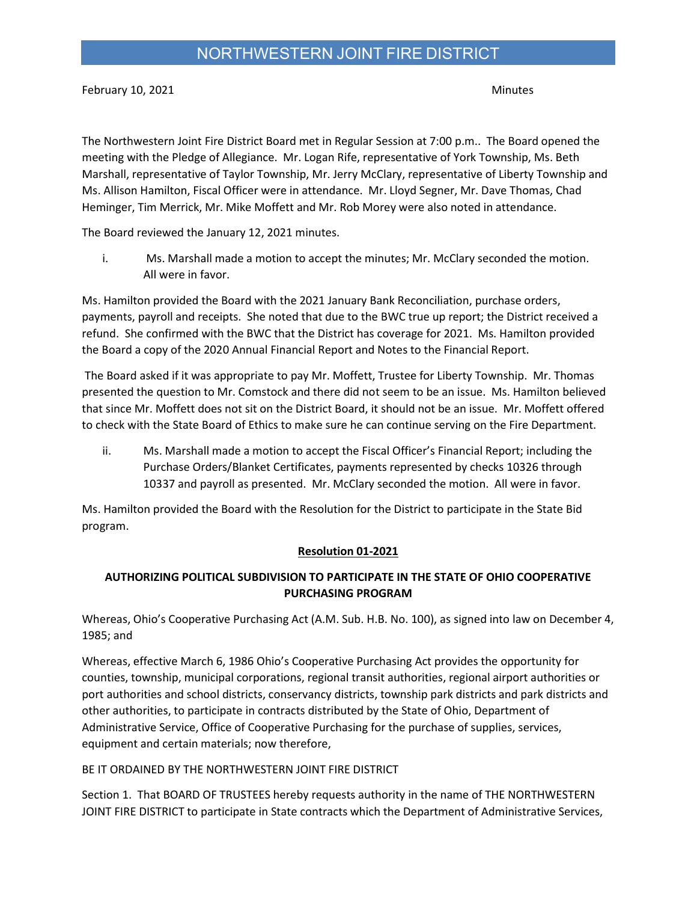February 10, 2021 **Minutes** 

The Northwestern Joint Fire District Board met in Regular Session at 7:00 p.m.. The Board opened the meeting with the Pledge of Allegiance. Mr. Logan Rife, representative of York Township, Ms. Beth Marshall, representative of Taylor Township, Mr. Jerry McClary, representative of Liberty Township and Ms. Allison Hamilton, Fiscal Officer were in attendance. Mr. Lloyd Segner, Mr. Dave Thomas, Chad Heminger, Tim Merrick, Mr. Mike Moffett and Mr. Rob Morey were also noted in attendance.

The Board reviewed the January 12, 2021 minutes.

i. Ms. Marshall made a motion to accept the minutes; Mr. McClary seconded the motion. All were in favor.

Ms. Hamilton provided the Board with the 2021 January Bank Reconciliation, purchase orders, payments, payroll and receipts. She noted that due to the BWC true up report; the District received a refund. She confirmed with the BWC that the District has coverage for 2021. Ms. Hamilton provided the Board a copy of the 2020 Annual Financial Report and Notes to the Financial Report.

 The Board asked if it was appropriate to pay Mr. Moffett, Trustee for Liberty Township. Mr. Thomas presented the question to Mr. Comstock and there did not seem to be an issue. Ms. Hamilton believed that since Mr. Moffett does not sit on the District Board, it should not be an issue. Mr. Moffett offered to check with the State Board of Ethics to make sure he can continue serving on the Fire Department.

ii. Ms. Marshall made a motion to accept the Fiscal Officer's Financial Report; including the Purchase Orders/Blanket Certificates, payments represented by checks 10326 through 10337 and payroll as presented. Mr. McClary seconded the motion. All were in favor.

Ms. Hamilton provided the Board with the Resolution for the District to participate in the State Bid program.

#### Resolution 01-2021

### AUTHORIZING POLITICAL SUBDIVISION TO PARTICIPATE IN THE STATE OF OHIO COOPERATIVE PURCHASING PROGRAM

Whereas, Ohio's Cooperative Purchasing Act (A.M. Sub. H.B. No. 100), as signed into law on December 4, 1985; and

Whereas, effective March 6, 1986 Ohio's Cooperative Purchasing Act provides the opportunity for counties, township, municipal corporations, regional transit authorities, regional airport authorities or port authorities and school districts, conservancy districts, township park districts and park districts and other authorities, to participate in contracts distributed by the State of Ohio, Department of Administrative Service, Office of Cooperative Purchasing for the purchase of supplies, services, equipment and certain materials; now therefore,

#### BE IT ORDAINED BY THE NORTHWESTERN JOINT FIRE DISTRICT

Section 1. That BOARD OF TRUSTEES hereby requests authority in the name of THE NORTHWESTERN JOINT FIRE DISTRICT to participate in State contracts which the Department of Administrative Services,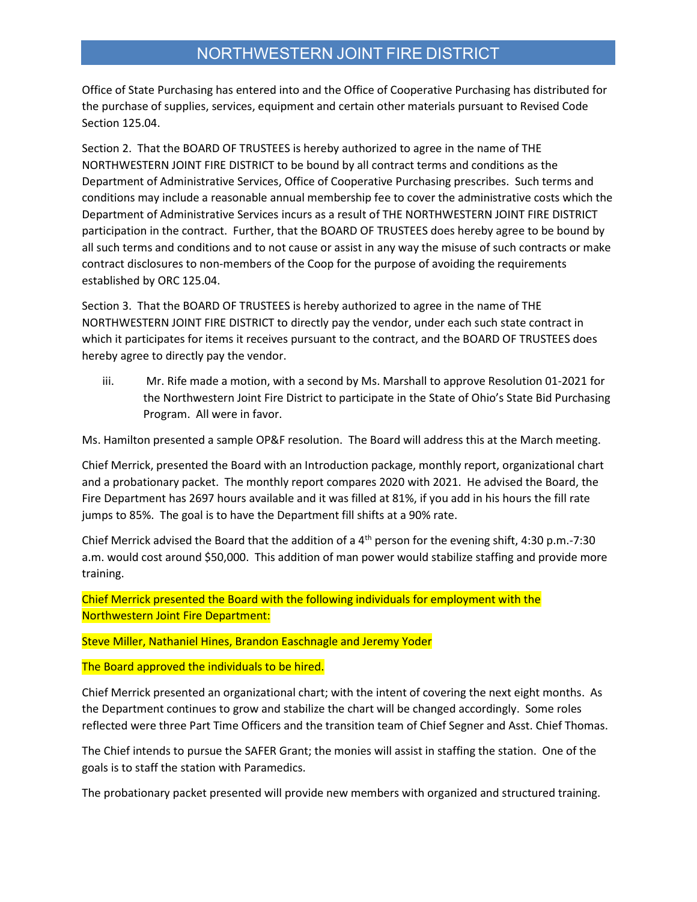## NORTHWESTERN JOINT FIRE DISTRICT

Office of State Purchasing has entered into and the Office of Cooperative Purchasing has distributed for the purchase of supplies, services, equipment and certain other materials pursuant to Revised Code Section 125.04.

Section 2. That the BOARD OF TRUSTEES is hereby authorized to agree in the name of THE NORTHWESTERN JOINT FIRE DISTRICT to be bound by all contract terms and conditions as the Department of Administrative Services, Office of Cooperative Purchasing prescribes. Such terms and conditions may include a reasonable annual membership fee to cover the administrative costs which the Department of Administrative Services incurs as a result of THE NORTHWESTERN JOINT FIRE DISTRICT participation in the contract. Further, that the BOARD OF TRUSTEES does hereby agree to be bound by all such terms and conditions and to not cause or assist in any way the misuse of such contracts or make contract disclosures to non-members of the Coop for the purpose of avoiding the requirements established by ORC 125.04.

Section 3. That the BOARD OF TRUSTEES is hereby authorized to agree in the name of THE NORTHWESTERN JOINT FIRE DISTRICT to directly pay the vendor, under each such state contract in which it participates for items it receives pursuant to the contract, and the BOARD OF TRUSTEES does hereby agree to directly pay the vendor.

iii. Mr. Rife made a motion, with a second by Ms. Marshall to approve Resolution 01-2021 for the Northwestern Joint Fire District to participate in the State of Ohio's State Bid Purchasing Program. All were in favor.

Ms. Hamilton presented a sample OP&F resolution. The Board will address this at the March meeting.

Chief Merrick, presented the Board with an Introduction package, monthly report, organizational chart and a probationary packet. The monthly report compares 2020 with 2021. He advised the Board, the Fire Department has 2697 hours available and it was filled at 81%, if you add in his hours the fill rate jumps to 85%. The goal is to have the Department fill shifts at a 90% rate.

Chief Merrick advised the Board that the addition of a  $4<sup>th</sup>$  person for the evening shift, 4:30 p.m.-7:30 a.m. would cost around \$50,000. This addition of man power would stabilize staffing and provide more training.

Chief Merrick presented the Board with the following individuals for employment with the Northwestern Joint Fire Department:

Steve Miller, Nathaniel Hines, Brandon Easchnagle and Jeremy Yoder

The Board approved the individuals to be hired.

Chief Merrick presented an organizational chart; with the intent of covering the next eight months. As the Department continues to grow and stabilize the chart will be changed accordingly. Some roles reflected were three Part Time Officers and the transition team of Chief Segner and Asst. Chief Thomas.

The Chief intends to pursue the SAFER Grant; the monies will assist in staffing the station. One of the goals is to staff the station with Paramedics.

The probationary packet presented will provide new members with organized and structured training.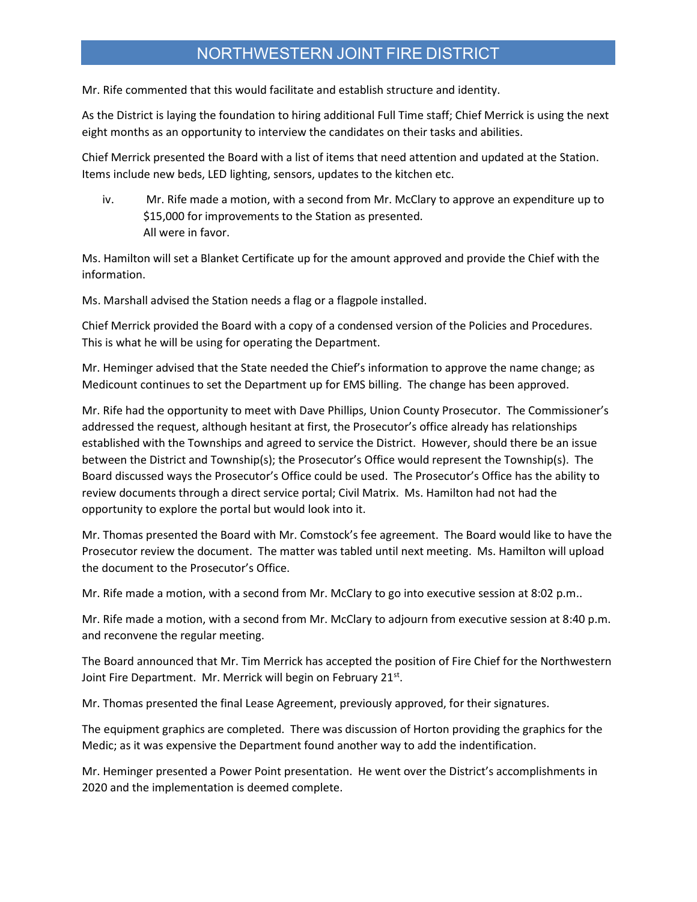## NORTHWESTERN JOINT FIRE DISTRICT

Mr. Rife commented that this would facilitate and establish structure and identity.

As the District is laying the foundation to hiring additional Full Time staff; Chief Merrick is using the next eight months as an opportunity to interview the candidates on their tasks and abilities.

Chief Merrick presented the Board with a list of items that need attention and updated at the Station. Items include new beds, LED lighting, sensors, updates to the kitchen etc.

iv. Mr. Rife made a motion, with a second from Mr. McClary to approve an expenditure up to \$15,000 for improvements to the Station as presented. All were in favor.

Ms. Hamilton will set a Blanket Certificate up for the amount approved and provide the Chief with the information.

Ms. Marshall advised the Station needs a flag or a flagpole installed.

Chief Merrick provided the Board with a copy of a condensed version of the Policies and Procedures. This is what he will be using for operating the Department.

Mr. Heminger advised that the State needed the Chief's information to approve the name change; as Medicount continues to set the Department up for EMS billing. The change has been approved.

Mr. Rife had the opportunity to meet with Dave Phillips, Union County Prosecutor. The Commissioner's addressed the request, although hesitant at first, the Prosecutor's office already has relationships established with the Townships and agreed to service the District. However, should there be an issue between the District and Township(s); the Prosecutor's Office would represent the Township(s). The Board discussed ways the Prosecutor's Office could be used. The Prosecutor's Office has the ability to review documents through a direct service portal; Civil Matrix. Ms. Hamilton had not had the opportunity to explore the portal but would look into it.

Mr. Thomas presented the Board with Mr. Comstock's fee agreement. The Board would like to have the Prosecutor review the document. The matter was tabled until next meeting. Ms. Hamilton will upload the document to the Prosecutor's Office.

Mr. Rife made a motion, with a second from Mr. McClary to go into executive session at 8:02 p.m..

Mr. Rife made a motion, with a second from Mr. McClary to adjourn from executive session at 8:40 p.m. and reconvene the regular meeting.

The Board announced that Mr. Tim Merrick has accepted the position of Fire Chief for the Northwestern Joint Fire Department. Mr. Merrick will begin on February 21<sup>st</sup>.

Mr. Thomas presented the final Lease Agreement, previously approved, for their signatures.

The equipment graphics are completed. There was discussion of Horton providing the graphics for the Medic; as it was expensive the Department found another way to add the indentification.

Mr. Heminger presented a Power Point presentation. He went over the District's accomplishments in 2020 and the implementation is deemed complete.